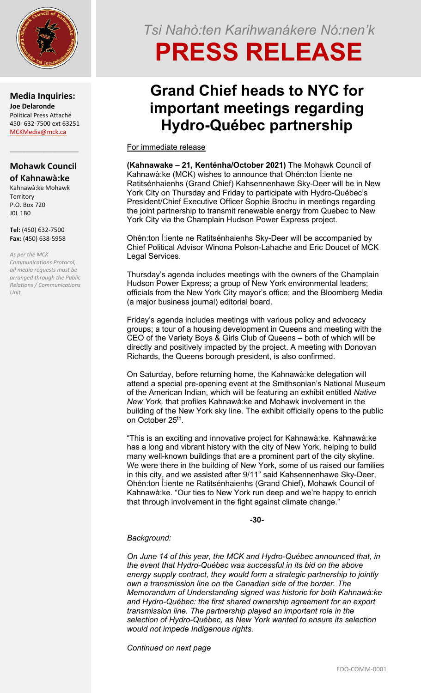

**Media Inquiries: Joe Delaronde** Political Press Attaché 450- 632-7500 ext 63251 [MCKMedia@mck.ca](mailto:MCKMedia@mck.ca)

### **Mohawk Council of Kahnawà:ke**

 $\mathcal{L}_\mathcal{L}$  , where  $\mathcal{L}_\mathcal{L}$  , we have the set of the set of the set of the set of the set of the set of the set of the set of the set of the set of the set of the set of the set of the set of the set of the set

Kahnawà:ke Mohawk **Territory** P.O. Box 720 J0L 1B0

**Tel:** (450) 632-7500 **Fax:** (450) 638-5958

*As per the MCK Communications Protocol, all media requests must be arranged through the Public Relations / Communications Unit*

## *Tsi Nahò:ten Karihwanákere Nó:nen'k*

# **PRESS RELEASE**

### **Grand Chief heads to NYC for important meetings regarding Hydro-Québec partnership**

For immediate release

**(Kahnawake – 21, Kenténha/October 2021)** The Mohawk Council of Kahnawà:ke (MCK) wishes to announce that Ohén:ton Í:iente ne Ratitsénhaienhs (Grand Chief) Kahsennenhawe Sky-Deer will be in New York City on Thursday and Friday to participate with Hydro-Québec's President/Chief Executive Officer Sophie Brochu in meetings regarding the joint partnership to transmit renewable energy from Quebec to New York City via the Champlain Hudson Power Express project.

Ohén:ton Í:iente ne Ratitsénhaienhs Sky-Deer will be accompanied by Chief Political Advisor Winona Polson-Lahache and Eric Doucet of MCK Legal Services.

Thursday's agenda includes meetings with the owners of the Champlain Hudson Power Express; a group of New York environmental leaders; officials from the New York City mayor's office; and the Bloomberg Media (a major business journal) editorial board.

Friday's agenda includes meetings with various policy and advocacy groups; a tour of a housing development in Queens and meeting with the CEO of the Variety Boys & Girls Club of Queens – both of which will be directly and positively impacted by the project. A meeting with Donovan Richards, the Queens borough president, is also confirmed.

On Saturday, before returning home, the Kahnawà:ke delegation will attend a special pre-opening event at the Smithsonian's National Museum of the American Indian, which will be featuring an exhibit entitled *Native New York,* that profiles Kahnawà:ke and Mohawk involvement in the building of the New York sky line. The exhibit officially opens to the public on October 25th.

"This is an exciting and innovative project for Kahnawà:ke. Kahnawà:ke has a long and vibrant history with the city of New York, helping to build many well-known buildings that are a prominent part of the city skyline. We were there in the building of New York, some of us raised our families in this city, and we assisted after 9/11" said Kahsennenhawe Sky-Deer, Ohén:ton Í:iente ne Ratitsénhaienhs (Grand Chief), Mohawk Council of Kahnawà:ke. "Our ties to New York run deep and we're happy to enrich that through involvement in the fight against climate change."

**-30-**

#### *Background:*

*On June 14 of this year, the MCK and Hydro-Québec announced that, in the event that Hydro-Québec was successful in its bid on the above energy supply contract, they would form a strategic partnership to jointly own a transmission line on the Canadian side of the border. The Memorandum of Understanding signed was historic for both Kahnawà:ke and Hydro-Québec: the first shared ownership agreement for an export transmission line. The partnership played an important role in the selection of Hydro-Québec, as New York wanted to ensure its selection would not impede Indigenous rights.*

*Continued on next page*